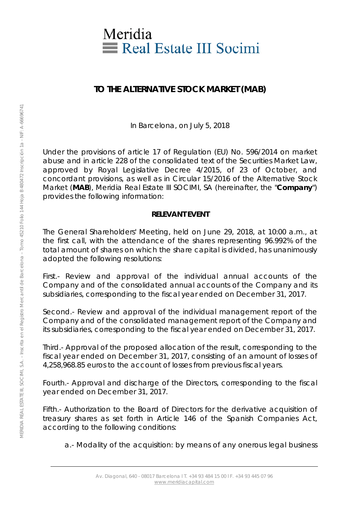

## **TO THE ALTERNATIVE STOCK MARKET (MAB)**

In Barcelona, on July 5, 2018

Under the provisions of article 17 of Regulation (EU) No. 596/2014 on market abuse and in article 228 of the consolidated text of the Securities Market Law, approved by Royal Legislative Decree 4/2015, of 23 of October, and concordant provisions, as well as in Circular 15/2016 of the Alternative Stock Market (**MAB**), Meridia Real Estate III SOCIMI, SA (hereinafter, the "**Company**") provides the following information:

## **RELEVANT EVENT**

The General Shareholders' Meeting, held on June 29, 2018, at 10:00 a.m., at the first call, with the attendance of the shares representing 96.992% of the total amount of shares on which the share capital is divided, has unanimously adopted the following resolutions:

First.- Review and approval of the individual annual accounts of the Company and of the consolidated annual accounts of the Company and its subsidiaries, corresponding to the fiscal year ended on December 31, 2017.

Second.- Review and approval of the individual management report of the Company and of the consolidated management report of the Company and its subsidiaries, corresponding to the fiscal year ended on December 31, 2017.

Third.- Approval of the proposed allocation of the result, corresponding to the fiscal year ended on December 31, 2017, consisting of an amount of losses of 4,258,968.85 euros to the account of losses from previous fiscal years.

Fourth.- Approval and discharge of the Directors, corresponding to the fiscal year ended on December 31, 2017.

Fifth.- Authorization to the Board of Directors for the derivative acquisition of treasury shares as set forth in Article 146 of the Spanish Companies Act, according to the following conditions:

a.- Modality of the acquisition: by means of any onerous legal business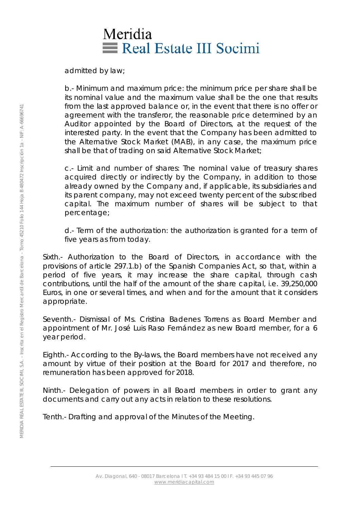## Meridia Real Estate III Socimi

admitted by law;

b.- Minimum and maximum price: the minimum price per share shall be its nominal value and the maximum value shall be the one that results from the last approved balance or, in the event that there is no offer or agreement with the transferor, the reasonable price determined by an Auditor appointed by the Board of Directors, at the request of the interested party. In the event that the Company has been admitted to the Alternative Stock Market (MAB), in any case, the maximum price shall be that of trading on said Alternative Stock Market;

c.- Limit and number of shares: The nominal value of treasury shares acquired directly or indirectly by the Company, in addition to those already owned by the Company and, if applicable, its subsidiaries and its parent company, may not exceed twenty percent of the subscribed capital. The maximum number of shares will be subject to that percentage;

d.- Term of the authorization: the authorization is granted for a term of five years as from today.

Sixth.- Authorization to the Board of Directors, in accordance with the provisions of article 297.1.b) of the Spanish Companies Act, so that, within a period of five years, it may increase the share capital, through cash contributions, until the half of the amount of the share capital, i.e. 39,250,000 Euros, in one or several times, and when and for the amount that it considers appropriate.

Seventh.- Dismissal of Ms. Cristina Badenes Torrens as Board Member and appointment of Mr. José Luis Raso Fernández as new Board member, for a 6 year period.

Eighth.- According to the By-laws, the Board members have not received any amount by virtue of their position at the Board for 2017 and therefore, no remuneration has been approved for 2018.

Ninth.- Delegation of powers in all Board members in order to grant any documents and carry out any acts in relation to these resolutions.

Tenth.- Drafting and approval of the Minutes of the Meeting.